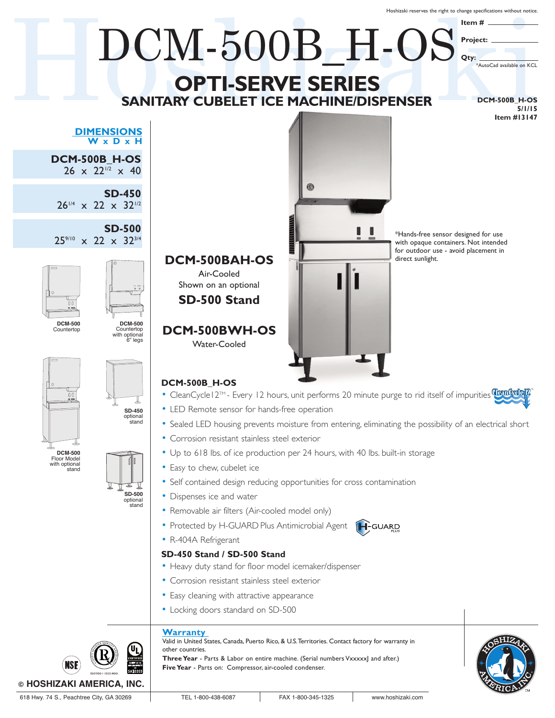Hoshizaki reserves the right to change specifications without notice.